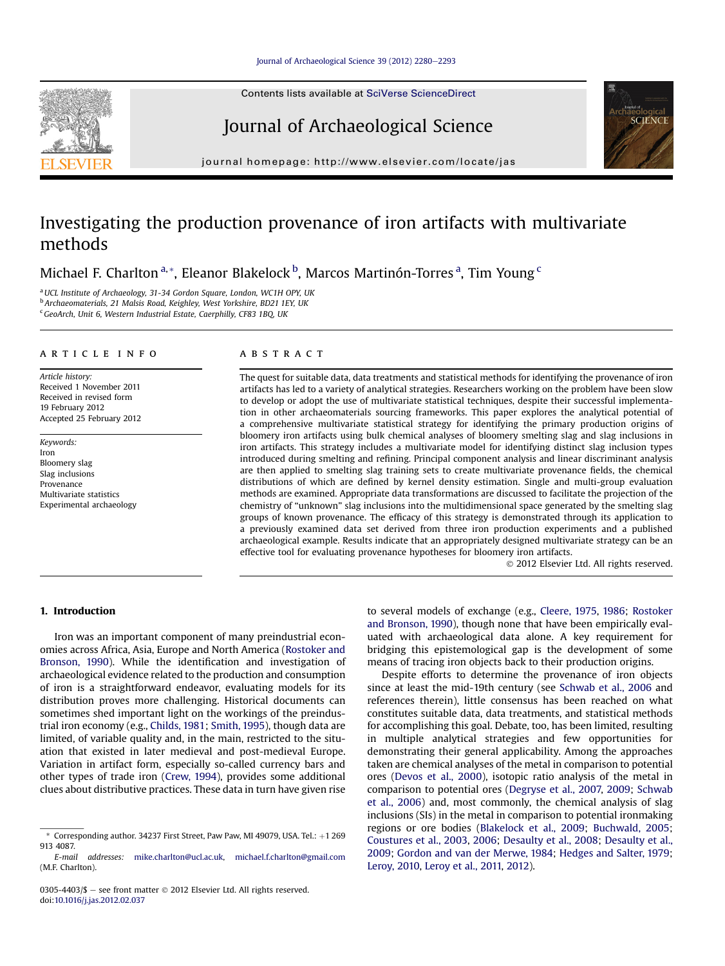Contents lists available at SciVerse ScienceDirect

# Journal of Archaeological Science

journal homepage:<http://www.elsevier.com/locate/jas>

# Investigating the production provenance of iron artifacts with multivariate methods

Michael F. Charlton <sup>a, \*</sup>, Eleanor Blakelock <sup>b</sup>, Marcos Martinón-Torres <sup>a</sup>, Tim Young <sup>c</sup>

<sup>a</sup> UCL Institute of Archaeology, 31-34 Gordon Square, London, WC1H OPY, UK b Archaeomaterials, 21 Malsis Road, Keighley, West Yorkshire, BD21 1EY, UK <sup>c</sup> GeoArch, Unit 6, Western Industrial Estate, Caerphilly, CF83 1BQ, UK

## article info

Article history: Received 1 November 2011 Received in revised form 19 February 2012 Accepted 25 February 2012

Keywords: Iron Bloomery slag Slag inclusions Provenance Multivariate statistics Experimental archaeology

## **ABSTRACT**

The quest for suitable data, data treatments and statistical methods for identifying the provenance of iron artifacts has led to a variety of analytical strategies. Researchers working on the problem have been slow to develop or adopt the use of multivariate statistical techniques, despite their successful implementation in other archaeomaterials sourcing frameworks. This paper explores the analytical potential of a comprehensive multivariate statistical strategy for identifying the primary production origins of bloomery iron artifacts using bulk chemical analyses of bloomery smelting slag and slag inclusions in iron artifacts. This strategy includes a multivariate model for identifying distinct slag inclusion types introduced during smelting and refining. Principal component analysis and linear discriminant analysis are then applied to smelting slag training sets to create multivariate provenance fields, the chemical distributions of which are defined by kernel density estimation. Single and multi-group evaluation methods are examined. Appropriate data transformations are discussed to facilitate the projection of the chemistry of "unknown" slag inclusions into the multidimensional space generated by the smelting slag groups of known provenance. The efficacy of this strategy is demonstrated through its application to a previously examined data set derived from three iron production experiments and a published archaeological example. Results indicate that an appropriately designed multivariate strategy can be an effective tool for evaluating provenance hypotheses for bloomery iron artifacts.

2012 Elsevier Ltd. All rights reserved.

# 1. Introduction

Iron was an important component of many preindustrial economies across Africa, Asia, Europe and North America ([Rostoker and](#page-13-0) [Bronson, 1990](#page-13-0)). While the identification and investigation of archaeological evidence related to the production and consumption of iron is a straightforward endeavor, evaluating models for its distribution proves more challenging. Historical documents can sometimes shed important light on the workings of the preindustrial iron economy (e.g., [Childs, 1981;](#page-12-0) [Smith, 1995\)](#page-13-0), though data are limited, of variable quality and, in the main, restricted to the situation that existed in later medieval and post-medieval Europe. Variation in artifact form, especially so-called currency bars and other types of trade iron ([Crew, 1994](#page-12-0)), provides some additional clues about distributive practices. These data in turn have given rise to several models of exchange (e.g., [Cleere, 1975](#page-12-0), [1986;](#page-12-0) [Rostoker](#page-13-0) [and Bronson, 1990\)](#page-13-0), though none that have been empirically evaluated with archaeological data alone. A key requirement for bridging this epistemological gap is the development of some means of tracing iron objects back to their production origins.

Despite efforts to determine the provenance of iron objects since at least the mid-19th century (see [Schwab et al., 2006](#page-13-0) and references therein), little consensus has been reached on what constitutes suitable data, data treatments, and statistical methods for accomplishing this goal. Debate, too, has been limited, resulting in multiple analytical strategies and few opportunities for demonstrating their general applicability. Among the approaches taken are chemical analyses of the metal in comparison to potential ores [\(Devos et al., 2000\)](#page-12-0), isotopic ratio analysis of the metal in comparison to potential ores [\(Degryse et al., 2007,](#page-12-0) [2009;](#page-12-0) [Schwab](#page-13-0) [et al., 2006](#page-13-0)) and, most commonly, the chemical analysis of slag inclusions (SIs) in the metal in comparison to potential ironmaking regions or ore bodies ([Blakelock et al., 2009](#page-12-0); [Buchwald, 2005](#page-12-0); [Coustures et al., 2003](#page-12-0), [2006](#page-12-0); [Desaulty et al., 2008](#page-12-0); [Desaulty et al.,](#page-12-0) [2009](#page-12-0); [Gordon and van der Merwe, 1984](#page-12-0); [Hedges and Salter, 1979](#page-12-0); [Leroy, 2010,](#page-13-0) [Leroy et al., 2011,](#page-13-0) [2012\)](#page-13-0).





 $*$  Corresponding author. 34237 First Street, Paw Paw, MI 49079, USA. Tel.:  $+1$  269 913 4087.

E-mail addresses: [mike.charlton@ucl.ac.uk](mailto:mike.charlton@ucl.ac.uk), [michael.f.charlton@gmail.com](mailto:michael.f.charlton@gmail.com) (M.F. Charlton).

<sup>0305-4403/\$ -</sup> see front matter  $\odot$  2012 Elsevier Ltd. All rights reserved. doi:[10.1016/j.jas.2012.02.037](http://dx.doi.org/10.1016/j.jas.2012.02.037)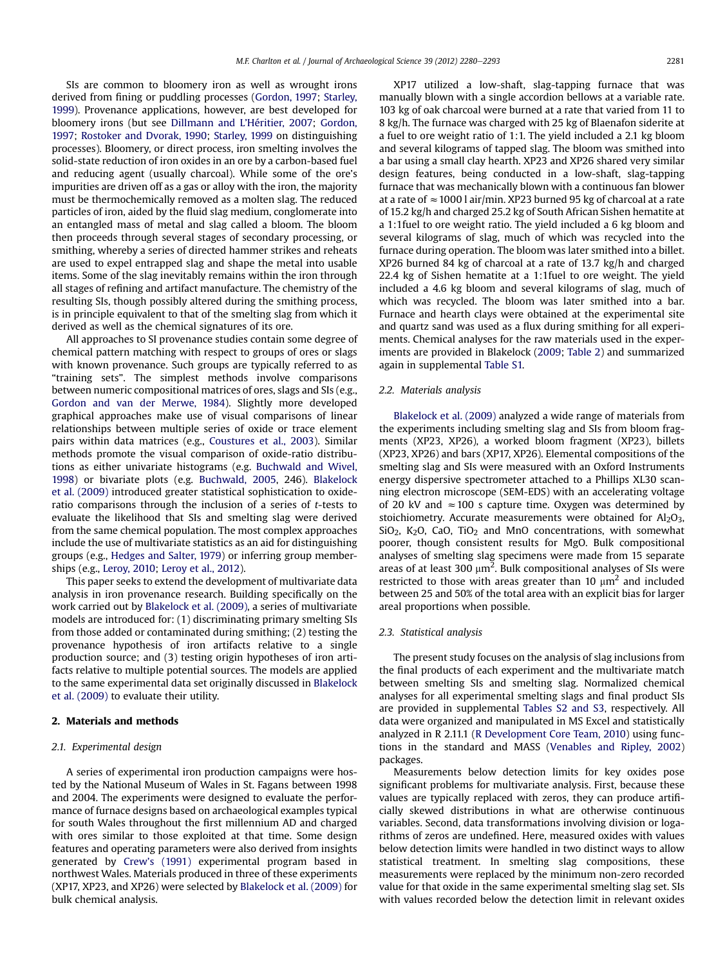SIs are common to bloomery iron as well as wrought irons derived from fining or puddling processes ([Gordon, 1997;](#page-12-0) [Starley,](#page-13-0) [1999\)](#page-13-0). Provenance applications, however, are best developed for bloomery irons (but see [Dillmann and L](#page-12-0)'Héritier, 2007; [Gordon,](#page-12-0) [1997;](#page-12-0) [Rostoker and Dvorak, 1990;](#page-13-0) [Starley, 1999](#page-13-0) on distinguishing processes). Bloomery, or direct process, iron smelting involves the solid-state reduction of iron oxides in an ore by a carbon-based fuel and reducing agent (usually charcoal). While some of the ore's impurities are driven off as a gas or alloy with the iron, the majority must be thermochemically removed as a molten slag. The reduced particles of iron, aided by the fluid slag medium, conglomerate into an entangled mass of metal and slag called a bloom. The bloom then proceeds through several stages of secondary processing, or smithing, whereby a series of directed hammer strikes and reheats are used to expel entrapped slag and shape the metal into usable items. Some of the slag inevitably remains within the iron through all stages of refining and artifact manufacture. The chemistry of the resulting SIs, though possibly altered during the smithing process, is in principle equivalent to that of the smelting slag from which it derived as well as the chemical signatures of its ore.

All approaches to SI provenance studies contain some degree of chemical pattern matching with respect to groups of ores or slags with known provenance. Such groups are typically referred to as "training sets". The simplest methods involve comparisons between numeric compositional matrices of ores, slags and SIs (e.g., [Gordon and van der Merwe, 1984\)](#page-12-0). Slightly more developed graphical approaches make use of visual comparisons of linear relationships between multiple series of oxide or trace element pairs within data matrices (e.g., [Coustures et al., 2003](#page-12-0)). Similar methods promote the visual comparison of oxide-ratio distributions as either univariate histograms (e.g. [Buchwald and Wivel,](#page-12-0) [1998\)](#page-12-0) or bivariate plots (e.g. [Buchwald, 2005,](#page-12-0) 246). [Blakelock](#page-12-0) [et al. \(2009\)](#page-12-0) introduced greater statistical sophistication to oxideratio comparisons through the inclusion of a series of t-tests to evaluate the likelihood that SIs and smelting slag were derived from the same chemical population. The most complex approaches include the use of multivariate statistics as an aid for distinguishing groups (e.g., [Hedges and Salter, 1979\)](#page-12-0) or inferring group memberships (e.g., [Leroy, 2010;](#page-13-0) [Leroy et al., 2012\)](#page-13-0).

This paper seeks to extend the development of multivariate data analysis in iron provenance research. Building specifically on the work carried out by [Blakelock et al. \(2009\)](#page-12-0), a series of multivariate models are introduced for: (1) discriminating primary smelting SIs from those added or contaminated during smithing; (2) testing the provenance hypothesis of iron artifacts relative to a single production source; and (3) testing origin hypotheses of iron artifacts relative to multiple potential sources. The models are applied to the same experimental data set originally discussed in [Blakelock](#page-12-0) [et al. \(2009\)](#page-12-0) to evaluate their utility.

## 2. Materials and methods

#### 2.1. Experimental design

A series of experimental iron production campaigns were hosted by the National Museum of Wales in St. Fagans between 1998 and 2004. The experiments were designed to evaluate the performance of furnace designs based on archaeological examples typical for south Wales throughout the first millennium AD and charged with ores similar to those exploited at that time. Some design features and operating parameters were also derived from insights generated by Crew'[s \(1991\)](#page-12-0) experimental program based in northwest Wales. Materials produced in three of these experiments (XP17, XP23, and XP26) were selected by [Blakelock et al. \(2009\)](#page-12-0) for bulk chemical analysis.

XP17 utilized a low-shaft, slag-tapping furnace that was manually blown with a single accordion bellows at a variable rate. 103 kg of oak charcoal were burned at a rate that varied from 11 to 8 kg/h. The furnace was charged with 25 kg of Blaenafon siderite at a fuel to ore weight ratio of 1:1. The yield included a 2.1 kg bloom and several kilograms of tapped slag. The bloom was smithed into a bar using a small clay hearth. XP23 and XP26 shared very similar design features, being conducted in a low-shaft, slag-tapping furnace that was mechanically blown with a continuous fan blower at a rate of  $\approx$  1000 l air/min. XP23 burned 95 kg of charcoal at a rate of 15.2 kg/h and charged 25.2 kg of South African Sishen hematite at a 1:1fuel to ore weight ratio. The yield included a 6 kg bloom and several kilograms of slag, much of which was recycled into the furnace during operation. The bloom was later smithed into a billet. XP26 burned 84 kg of charcoal at a rate of 13.7 kg/h and charged 22.4 kg of Sishen hematite at a 1:1fuel to ore weight. The yield included a 4.6 kg bloom and several kilograms of slag, much of which was recycled. The bloom was later smithed into a bar. Furnace and hearth clays were obtained at the experimental site and quartz sand was used as a flux during smithing for all experiments. Chemical analyses for the raw materials used in the experiments are provided in Blakelock ([2009](#page-12-0); [Table 2](#page-3-0)) and summarized again in supplemental Table S1.

## 2.2. Materials analysis

[Blakelock et al. \(2009\)](#page-12-0) analyzed a wide range of materials from the experiments including smelting slag and SIs from bloom fragments (XP23, XP26), a worked bloom fragment (XP23), billets (XP23, XP26) and bars (XP17, XP26). Elemental compositions of the smelting slag and SIs were measured with an Oxford Instruments energy dispersive spectrometer attached to a Phillips XL30 scanning electron microscope (SEM-EDS) with an accelerating voltage of 20 kV and  $\approx$  100 s capture time. Oxygen was determined by stoichiometry. Accurate measurements were obtained for  $Al_2O_3$ ,  $SiO<sub>2</sub>$ , K<sub>2</sub>O, CaO, TiO<sub>2</sub> and MnO concentrations, with somewhat poorer, though consistent results for MgO. Bulk compositional analyses of smelting slag specimens were made from 15 separate areas of at least 300  $\mu$ m<sup>2</sup>. Bulk compositional analyses of SIs were restricted to those with areas greater than 10  $\mu$ m<sup>2</sup> and included between 25 and 50% of the total area with an explicit bias for larger areal proportions when possible.

#### 2.3. Statistical analysis

The present study focuses on the analysis of slag inclusions from the final products of each experiment and the multivariate match between smelting SIs and smelting slag. Normalized chemical analyses for all experimental smelting slags and final product SIs are provided in supplemental Tables S2 and S3, respectively. All data were organized and manipulated in MS Excel and statistically analyzed in R 2.11.1 ([R Development Core Team, 2010](#page-13-0)) using functions in the standard and MASS [\(Venables and Ripley, 2002\)](#page-13-0) packages.

Measurements below detection limits for key oxides pose significant problems for multivariate analysis. First, because these values are typically replaced with zeros, they can produce artificially skewed distributions in what are otherwise continuous variables. Second, data transformations involving division or logarithms of zeros are undefined. Here, measured oxides with values below detection limits were handled in two distinct ways to allow statistical treatment. In smelting slag compositions, these measurements were replaced by the minimum non-zero recorded value for that oxide in the same experimental smelting slag set. SIs with values recorded below the detection limit in relevant oxides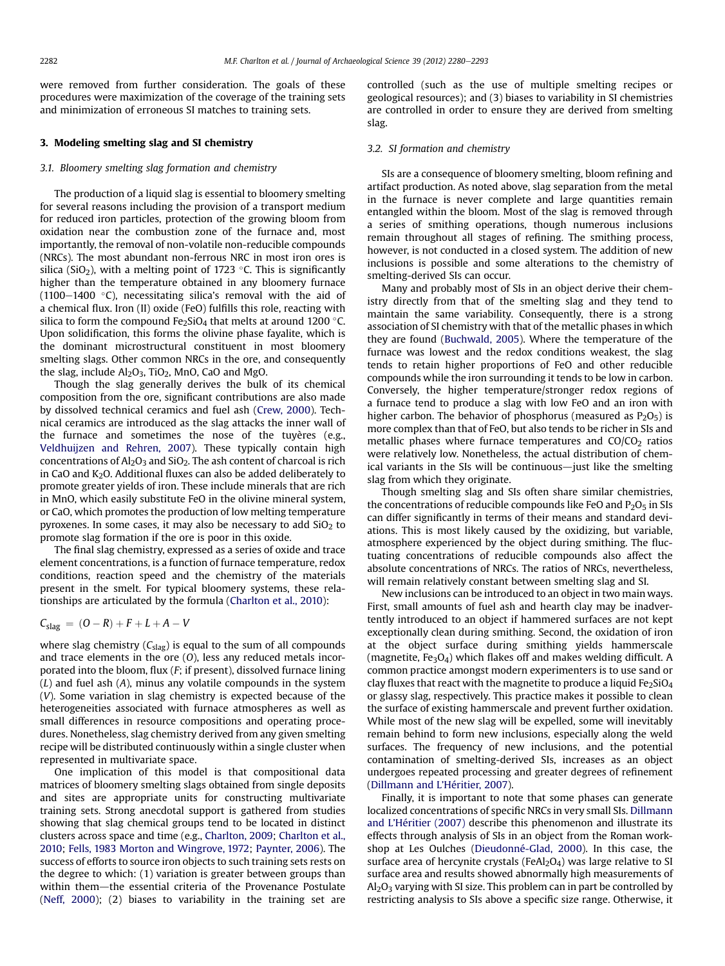were removed from further consideration. The goals of these procedures were maximization of the coverage of the training sets and minimization of erroneous SI matches to training sets.

# 3. Modeling smelting slag and SI chemistry

## 3.1. Bloomery smelting slag formation and chemistry

The production of a liquid slag is essential to bloomery smelting for several reasons including the provision of a transport medium for reduced iron particles, protection of the growing bloom from oxidation near the combustion zone of the furnace and, most importantly, the removal of non-volatile non-reducible compounds (NRCs). The most abundant non-ferrous NRC in most iron ores is silica (SiO<sub>2</sub>), with a melting point of 1723  $\degree$ C. This is significantly higher than the temperature obtained in any bloomery furnace  $(1100-1400 \degree C)$ , necessitating silica's removal with the aid of a chemical flux. Iron (II) oxide (FeO) fulfills this role, reacting with silica to form the compound Fe $_2$ SiO $_4$  that melts at around 1200 °C. Upon solidification, this forms the olivine phase fayalite, which is the dominant microstructural constituent in most bloomery smelting slags. Other common NRCs in the ore, and consequently the slag, include  $Al_2O_3$ , TiO<sub>2</sub>, MnO, CaO and MgO.

Though the slag generally derives the bulk of its chemical composition from the ore, significant contributions are also made by dissolved technical ceramics and fuel ash [\(Crew, 2000](#page-12-0)). Technical ceramics are introduced as the slag attacks the inner wall of the furnace and sometimes the nose of the tuyères (e.g., [Veldhuijzen and Rehren, 2007](#page-13-0)). These typically contain high concentrations of  $Al_2O_3$  and  $SiO_2$ . The ash content of charcoal is rich in CaO and  $K<sub>2</sub>O$ . Additional fluxes can also be added deliberately to promote greater yields of iron. These include minerals that are rich in MnO, which easily substitute FeO in the olivine mineral system, or CaO, which promotes the production of low melting temperature pyroxenes. In some cases, it may also be necessary to add  $SiO<sub>2</sub>$  to promote slag formation if the ore is poor in this oxide.

The final slag chemistry, expressed as a series of oxide and trace element concentrations, is a function of furnace temperature, redox conditions, reaction speed and the chemistry of the materials present in the smelt. For typical bloomery systems, these relationships are articulated by the formula [\(Charlton et al., 2010\)](#page-12-0):

# $C_{\text{slag}} = (O - R) + F + L + A - V$

where slag chemistry  $(C_{\text{slag}})$  is equal to the sum of all compounds and trace elements in the ore (O), less any reduced metals incorporated into the bloom, flux (F; if present), dissolved furnace lining  $(L)$  and fuel ash  $(A)$ , minus any volatile compounds in the system (V). Some variation in slag chemistry is expected because of the heterogeneities associated with furnace atmospheres as well as small differences in resource compositions and operating procedures. Nonetheless, slag chemistry derived from any given smelting recipe will be distributed continuously within a single cluster when represented in multivariate space.

One implication of this model is that compositional data matrices of bloomery smelting slags obtained from single deposits and sites are appropriate units for constructing multivariate training sets. Strong anecdotal support is gathered from studies showing that slag chemical groups tend to be located in distinct clusters across space and time (e.g., [Charlton, 2009](#page-12-0); [Charlton et al.,](#page-12-0) [2010](#page-12-0); [Fells, 1983](#page-12-0) [Morton and Wingrove, 1972;](#page-13-0) [Paynter, 2006](#page-13-0)). The success of efforts to source iron objects to such training sets rests on the degree to which: (1) variation is greater between groups than within them—the essential criteria of the Provenance Postulate ([Neff, 2000](#page-13-0)); (2) biases to variability in the training set are controlled (such as the use of multiple smelting recipes or geological resources); and (3) biases to variability in SI chemistries are controlled in order to ensure they are derived from smelting slag.

# 3.2. SI formation and chemistry

SIs are a consequence of bloomery smelting, bloom refining and artifact production. As noted above, slag separation from the metal in the furnace is never complete and large quantities remain entangled within the bloom. Most of the slag is removed through a series of smithing operations, though numerous inclusions remain throughout all stages of refining. The smithing process, however, is not conducted in a closed system. The addition of new inclusions is possible and some alterations to the chemistry of smelting-derived SIs can occur.

Many and probably most of SIs in an object derive their chemistry directly from that of the smelting slag and they tend to maintain the same variability. Consequently, there is a strong association of SI chemistry with that of the metallic phases in which they are found [\(Buchwald, 2005\)](#page-12-0). Where the temperature of the furnace was lowest and the redox conditions weakest, the slag tends to retain higher proportions of FeO and other reducible compounds while the iron surrounding it tends to be low in carbon. Conversely, the higher temperature/stronger redox regions of a furnace tend to produce a slag with low FeO and an iron with higher carbon. The behavior of phosphorus (measured as  $P_2O_5$ ) is more complex than that of FeO, but also tends to be richer in SIs and metallic phases where furnace temperatures and  $CO/CO<sub>2</sub>$  ratios were relatively low. Nonetheless, the actual distribution of chemical variants in the SIs will be continuous-just like the smelting slag from which they originate.

Though smelting slag and SIs often share similar chemistries, the concentrations of reducible compounds like FeO and  $P_2O_5$  in SIs can differ significantly in terms of their means and standard deviations. This is most likely caused by the oxidizing, but variable, atmosphere experienced by the object during smithing. The fluctuating concentrations of reducible compounds also affect the absolute concentrations of NRCs. The ratios of NRCs, nevertheless, will remain relatively constant between smelting slag and SI.

New inclusions can be introduced to an object in two main ways. First, small amounts of fuel ash and hearth clay may be inadvertently introduced to an object if hammered surfaces are not kept exceptionally clean during smithing. Second, the oxidation of iron at the object surface during smithing yields hammerscale (magnetite,  $Fe<sub>3</sub>O<sub>4</sub>$ ) which flakes off and makes welding difficult. A common practice amongst modern experimenters is to use sand or clay fluxes that react with the magnetite to produce a liquid  $Fe<sub>2</sub>SiO<sub>4</sub>$ or glassy slag, respectively. This practice makes it possible to clean the surface of existing hammerscale and prevent further oxidation. While most of the new slag will be expelled, some will inevitably remain behind to form new inclusions, especially along the weld surfaces. The frequency of new inclusions, and the potential contamination of smelting-derived SIs, increases as an object undergoes repeated processing and greater degrees of refinement ([Dillmann and L](#page-12-0)'Héritier, 2007).

Finally, it is important to note that some phases can generate localized concentrations of specific NRCs in very small SIs. [Dillmann](#page-12-0) and L'[Héritier \(2007\)](#page-12-0) describe this phenomenon and illustrate its effects through analysis of SIs in an object from the Roman workshop at Les Oulches [\(Dieudonné-Glad, 2000](#page-12-0)). In this case, the surface area of hercynite crystals (FeAl<sub>2</sub>O<sub>4</sub>) was large relative to SI surface area and results showed abnormally high measurements of  $Al_2O_3$  varying with SI size. This problem can in part be controlled by restricting analysis to SIs above a specific size range. Otherwise, it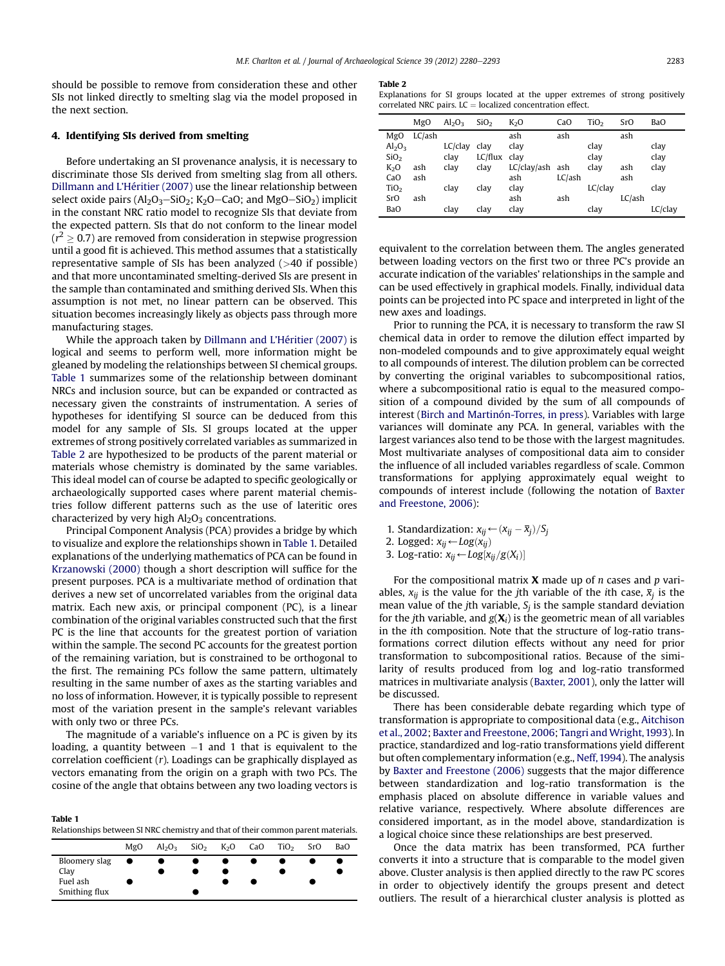<span id="page-3-0"></span>should be possible to remove from consideration these and other SIs not linked directly to smelting slag via the model proposed in the next section.

# 4. Identifying SIs derived from smelting

Before undertaking an SI provenance analysis, it is necessary to discriminate those SIs derived from smelting slag from all others. [Dillmann and L](#page-12-0)'Héritier (2007) use the linear relationship between select oxide pairs  $(AI_2O_3-SiO_2; K_2O-CaO;$  and  $MgO-SiO_2)$  implicit in the constant NRC ratio model to recognize SIs that deviate from the expected pattern. SIs that do not conform to the linear model  $(r^2 \ge 0.7)$  are removed from consideration in stepwise progression until a good fit is achieved. This method assumes that a statistically representative sample of SIs has been analyzed (>40 if possible) and that more uncontaminated smelting-derived SIs are present in the sample than contaminated and smithing derived SIs. When this assumption is not met, no linear pattern can be observed. This situation becomes increasingly likely as objects pass through more manufacturing stages.

While the approach taken by [Dillmann and L](#page-12-0)'Héritier (2007) is logical and seems to perform well, more information might be gleaned by modeling the relationships between SI chemical groups. Table 1 summarizes some of the relationship between dominant NRCs and inclusion source, but can be expanded or contracted as necessary given the constraints of instrumentation. A series of hypotheses for identifying SI source can be deduced from this model for any sample of SIs. SI groups located at the upper extremes of strong positively correlated variables as summarized in Table 2 are hypothesized to be products of the parent material or materials whose chemistry is dominated by the same variables. This ideal model can of course be adapted to specific geologically or archaeologically supported cases where parent material chemistries follow different patterns such as the use of lateritic ores characterized by very high  $Al_2O_3$  concentrations.

Principal Component Analysis (PCA) provides a bridge by which to visualize and explore the relationships shown in Table 1. Detailed explanations of the underlying mathematics of PCA can be found in [Krzanowski \(2000\)](#page-13-0) though a short description will suffice for the present purposes. PCA is a multivariate method of ordination that derives a new set of uncorrelated variables from the original data matrix. Each new axis, or principal component (PC), is a linear combination of the original variables constructed such that the first PC is the line that accounts for the greatest portion of variation within the sample. The second PC accounts for the greatest portion of the remaining variation, but is constrained to be orthogonal to the first. The remaining PCs follow the same pattern, ultimately resulting in the same number of axes as the starting variables and no loss of information. However, it is typically possible to represent most of the variation present in the sample's relevant variables with only two or three PCs.

The magnitude of a variable's influence on a PC is given by its loading, a quantity between  $-1$  and 1 that is equivalent to the correlation coefficient  $(r)$ . Loadings can be graphically displayed as vectors emanating from the origin on a graph with two PCs. The cosine of the angle that obtains between any two loading vectors is

Table 1 Relationships between SI NRC chemistry and that of their common parent materials.

|                       | MgO | $Al_2O_3$ $SiO_2$ $K_2O$ CaO |  | TiO <sub>2</sub> | SrO | BaO |
|-----------------------|-----|------------------------------|--|------------------|-----|-----|
| Bloomery slag<br>Clay |     |                              |  |                  |     |     |
| Fuel ash              |     |                              |  |                  |     |     |
| Smithing flux         |     |                              |  |                  |     |     |

#### Table 2

Explanations for SI groups located at the upper extremes of strong positively correlated NRC pairs.  $LC =$  localized concentration effect.

|                                      | MgO        | Al <sub>2</sub> O <sub>3</sub> | SiO <sub>2</sub>     | K <sub>2</sub> O          | CaO    | TiO <sub>2</sub> | SrO        | BaO           |
|--------------------------------------|------------|--------------------------------|----------------------|---------------------------|--------|------------------|------------|---------------|
| MgO<br>$Al_2O_3$<br>SiO <sub>2</sub> | LC/ash     | $LC$ / $cl$ ay<br>clay         | clay<br>LC/flux clav | ash<br>clay               | ash    | clay<br>clay     | ash        | clay<br>clay  |
| K <sub>2</sub> O<br>CaO              | ash<br>ash | clay                           | clay                 | $LC$ /clay/ash ash<br>ash | LC/ash | clay             | ash<br>ash | clay          |
| TiO <sub>2</sub><br>SrO              | ash        | clay                           | clay                 | clay<br>ash               | ash    | LC/clay          | LC/ash     | clav          |
| BaO                                  |            | clay                           | clav                 | clay                      |        | clay             |            | $LC$ / $clay$ |

equivalent to the correlation between them. The angles generated between loading vectors on the first two or three PC's provide an accurate indication of the variables' relationships in the sample and can be used effectively in graphical models. Finally, individual data points can be projected into PC space and interpreted in light of the new axes and loadings.

Prior to running the PCA, it is necessary to transform the raw SI chemical data in order to remove the dilution effect imparted by non-modeled compounds and to give approximately equal weight to all compounds of interest. The dilution problem can be corrected by converting the original variables to subcompositional ratios, where a subcompositional ratio is equal to the measured composition of a compound divided by the sum of all compounds of interest ([Birch and Martinón-Torres, in press\)](#page-12-0). Variables with large variances will dominate any PCA. In general, variables with the largest variances also tend to be those with the largest magnitudes. Most multivariate analyses of compositional data aim to consider the influence of all included variables regardless of scale. Common transformations for applying approximately equal weight to compounds of interest include (following the notation of [Baxter](#page-12-0) [and Freestone, 2006](#page-12-0)):

1. Standardization:  $x_{ij} \leftarrow (x_{ij} - \overline{x}_j)/S_j$ 

- 2. Logged:  $x_{ii} \leftarrow Log(x_{ii})$
- 3. Log-ratio:  $x_{ij} \leftarrow Log[x_{ij}/g(X_i)]$

For the compositional matrix  $X$  made up of  $n$  cases and  $p$  variables,  $x_{ii}$  is the value for the jth variable of the ith case,  $\bar{x}_i$  is the mean value of the jth variable,  $S_i$  is the sample standard deviation for the jth variable, and  $g(\mathbf{X}_i)$  is the geometric mean of all variables in the ith composition. Note that the structure of log-ratio transformations correct dilution effects without any need for prior transformation to subcompositional ratios. Because of the similarity of results produced from log and log-ratio transformed matrices in multivariate analysis ([Baxter, 2001\)](#page-12-0), only the latter will be discussed.

There has been considerable debate regarding which type of transformation is appropriate to compositional data (e.g., [Aitchison](#page-12-0) [et al., 2002](#page-12-0); [Baxter and Freestone, 2006;](#page-12-0) [Tangri and Wright,1993\)](#page-13-0). In practice, standardized and log-ratio transformations yield different but often complementary information (e.g., [Neff,1994\)](#page-13-0). The analysis by [Baxter and Freestone \(2006\)](#page-12-0) suggests that the major difference between standardization and log-ratio transformation is the emphasis placed on absolute difference in variable values and relative variance, respectively. Where absolute differences are considered important, as in the model above, standardization is a logical choice since these relationships are best preserved.

Once the data matrix has been transformed, PCA further converts it into a structure that is comparable to the model given above. Cluster analysis is then applied directly to the raw PC scores in order to objectively identify the groups present and detect outliers. The result of a hierarchical cluster analysis is plotted as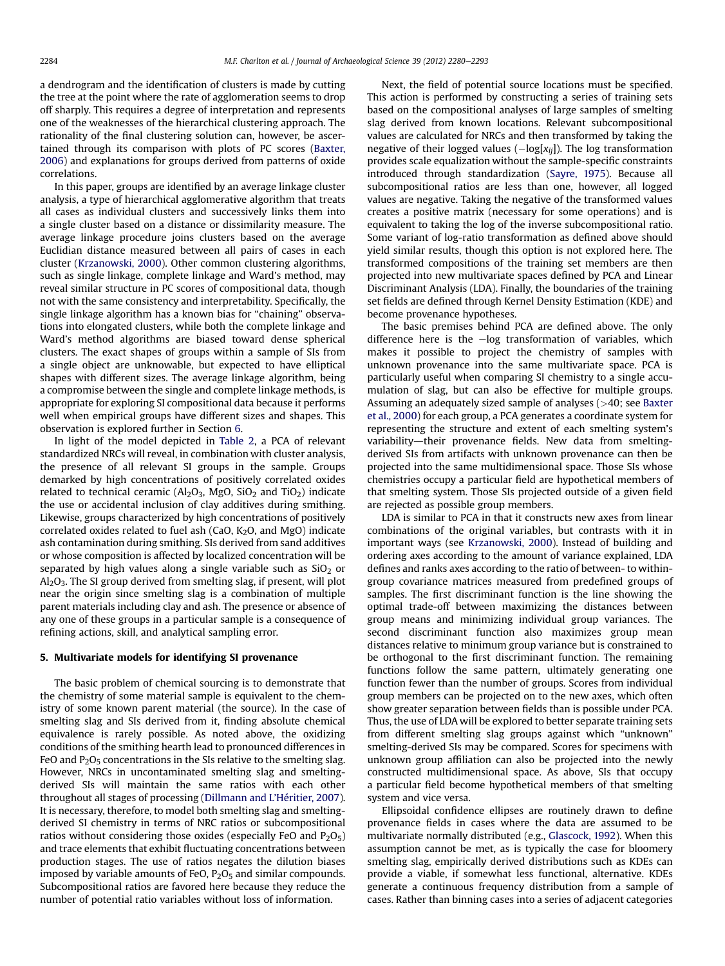a dendrogram and the identification of clusters is made by cutting the tree at the point where the rate of agglomeration seems to drop off sharply. This requires a degree of interpretation and represents one of the weaknesses of the hierarchical clustering approach. The rationality of the final clustering solution can, however, be ascertained through its comparison with plots of PC scores [\(Baxter,](#page-12-0) [2006](#page-12-0)) and explanations for groups derived from patterns of oxide correlations.

In this paper, groups are identified by an average linkage cluster analysis, a type of hierarchical agglomerative algorithm that treats all cases as individual clusters and successively links them into a single cluster based on a distance or dissimilarity measure. The average linkage procedure joins clusters based on the average Euclidian distance measured between all pairs of cases in each cluster [\(Krzanowski, 2000\)](#page-13-0). Other common clustering algorithms, such as single linkage, complete linkage and Ward's method, may reveal similar structure in PC scores of compositional data, though not with the same consistency and interpretability. Specifically, the single linkage algorithm has a known bias for "chaining" observations into elongated clusters, while both the complete linkage and Ward's method algorithms are biased toward dense spherical clusters. The exact shapes of groups within a sample of SIs from a single object are unknowable, but expected to have elliptical shapes with different sizes. The average linkage algorithm, being a compromise between the single and complete linkage methods, is appropriate for exploring SI compositional data because it performs well when empirical groups have different sizes and shapes. This observation is explored further in Section [6.](#page-5-0)

In light of the model depicted in [Table 2,](#page-3-0) a PCA of relevant standardized NRCs will reveal, in combination with cluster analysis, the presence of all relevant SI groups in the sample. Groups demarked by high concentrations of positively correlated oxides related to technical ceramic ( $Al_2O_3$ , MgO,  $SiO_2$  and  $TiO_2$ ) indicate the use or accidental inclusion of clay additives during smithing. Likewise, groups characterized by high concentrations of positively correlated oxides related to fuel ash (CaO,  $K<sub>2</sub>O$ , and MgO) indicate ash contamination during smithing. SIs derived from sand additives or whose composition is affected by localized concentration will be separated by high values along a single variable such as  $SiO<sub>2</sub>$  or Al2O3. The SI group derived from smelting slag, if present, will plot near the origin since smelting slag is a combination of multiple parent materials including clay and ash. The presence or absence of any one of these groups in a particular sample is a consequence of refining actions, skill, and analytical sampling error.

## 5. Multivariate models for identifying SI provenance

The basic problem of chemical sourcing is to demonstrate that the chemistry of some material sample is equivalent to the chemistry of some known parent material (the source). In the case of smelting slag and SIs derived from it, finding absolute chemical equivalence is rarely possible. As noted above, the oxidizing conditions of the smithing hearth lead to pronounced differences in FeO and  $P_2O_5$  concentrations in the SIs relative to the smelting slag. However, NRCs in uncontaminated smelting slag and smeltingderived SIs will maintain the same ratios with each other throughout all stages of processing [\(Dillmann and L](#page-12-0)'Héritier, 2007). It is necessary, therefore, to model both smelting slag and smeltingderived SI chemistry in terms of NRC ratios or subcompositional ratios without considering those oxides (especially FeO and  $P_2O_5$ ) and trace elements that exhibit fluctuating concentrations between production stages. The use of ratios negates the dilution biases imposed by variable amounts of FeO,  $P_2O_5$  and similar compounds. Subcompositional ratios are favored here because they reduce the number of potential ratio variables without loss of information.

Next, the field of potential source locations must be specified. This action is performed by constructing a series of training sets based on the compositional analyses of large samples of smelting slag derived from known locations. Relevant subcompositional values are calculated for NRCs and then transformed by taking the negative of their logged values  $(-\log[x_{ii}])$ . The log transformation provides scale equalization without the sample-specific constraints introduced through standardization [\(Sayre, 1975\)](#page-13-0). Because all subcompositional ratios are less than one, however, all logged values are negative. Taking the negative of the transformed values creates a positive matrix (necessary for some operations) and is equivalent to taking the log of the inverse subcompositional ratio. Some variant of log-ratio transformation as defined above should yield similar results, though this option is not explored here. The transformed compositions of the training set members are then projected into new multivariate spaces defined by PCA and Linear Discriminant Analysis (LDA). Finally, the boundaries of the training set fields are defined through Kernel Density Estimation (KDE) and become provenance hypotheses.

The basic premises behind PCA are defined above. The only difference here is the  $-\log$  transformation of variables, which makes it possible to project the chemistry of samples with unknown provenance into the same multivariate space. PCA is particularly useful when comparing SI chemistry to a single accumulation of slag, but can also be effective for multiple groups. Assuming an adequately sized sample of analyses (>40; see [Baxter](#page-12-0) [et al., 2000\)](#page-12-0) for each group, a PCA generates a coordinate system for representing the structure and extent of each smelting system's variability-their provenance fields. New data from smeltingderived SIs from artifacts with unknown provenance can then be projected into the same multidimensional space. Those SIs whose chemistries occupy a particular field are hypothetical members of that smelting system. Those SIs projected outside of a given field are rejected as possible group members.

LDA is similar to PCA in that it constructs new axes from linear combinations of the original variables, but contrasts with it in important ways (see [Krzanowski, 2000\)](#page-13-0). Instead of building and ordering axes according to the amount of variance explained, LDA defines and ranks axes according to the ratio of between- to withingroup covariance matrices measured from predefined groups of samples. The first discriminant function is the line showing the optimal trade-off between maximizing the distances between group means and minimizing individual group variances. The second discriminant function also maximizes group mean distances relative to minimum group variance but is constrained to be orthogonal to the first discriminant function. The remaining functions follow the same pattern, ultimately generating one function fewer than the number of groups. Scores from individual group members can be projected on to the new axes, which often show greater separation between fields than is possible under PCA. Thus, the use of LDA will be explored to better separate training sets from different smelting slag groups against which "unknown" smelting-derived SIs may be compared. Scores for specimens with unknown group affiliation can also be projected into the newly constructed multidimensional space. As above, SIs that occupy a particular field become hypothetical members of that smelting system and vice versa.

Ellipsoidal confidence ellipses are routinely drawn to define provenance fields in cases where the data are assumed to be multivariate normally distributed (e.g., [Glascock, 1992](#page-12-0)). When this assumption cannot be met, as is typically the case for bloomery smelting slag, empirically derived distributions such as KDEs can provide a viable, if somewhat less functional, alternative. KDEs generate a continuous frequency distribution from a sample of cases. Rather than binning cases into a series of adjacent categories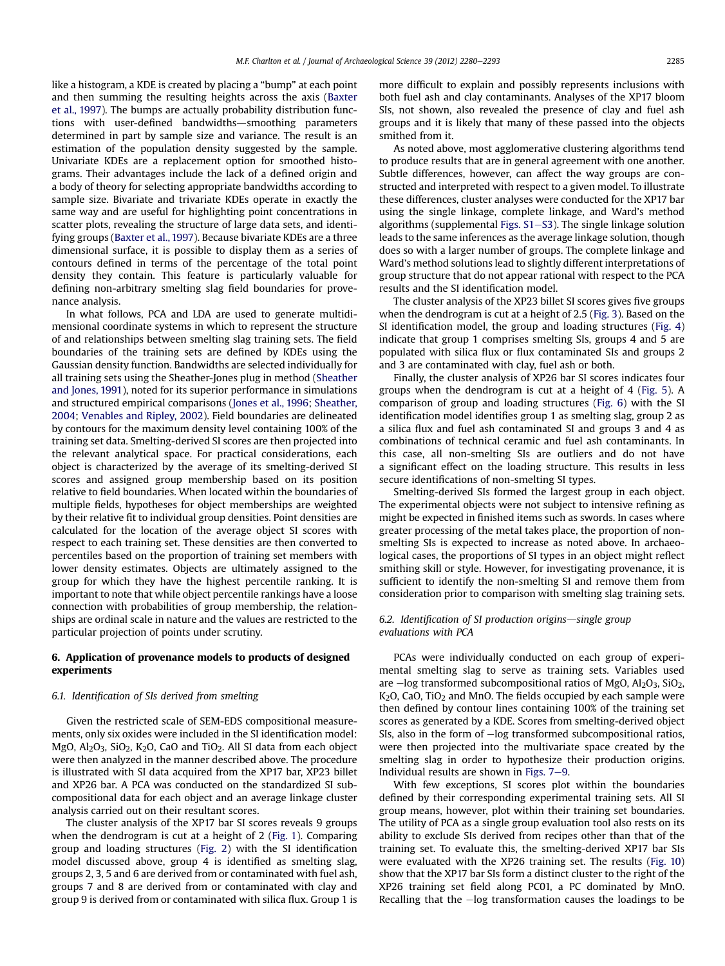<span id="page-5-0"></span>like a histogram, a KDE is created by placing a "bump" at each point and then summing the resulting heights across the axis [\(Baxter](#page-12-0) [et al., 1997](#page-12-0)). The bumps are actually probability distribution functions with user-defined bandwidths-smoothing parameters determined in part by sample size and variance. The result is an estimation of the population density suggested by the sample. Univariate KDEs are a replacement option for smoothed histograms. Their advantages include the lack of a defined origin and a body of theory for selecting appropriate bandwidths according to sample size. Bivariate and trivariate KDEs operate in exactly the same way and are useful for highlighting point concentrations in scatter plots, revealing the structure of large data sets, and identifying groups [\(Baxter et al., 1997](#page-12-0)). Because bivariate KDEs are a three dimensional surface, it is possible to display them as a series of contours defined in terms of the percentage of the total point density they contain. This feature is particularly valuable for defining non-arbitrary smelting slag field boundaries for provenance analysis.

In what follows, PCA and LDA are used to generate multidimensional coordinate systems in which to represent the structure of and relationships between smelting slag training sets. The field boundaries of the training sets are defined by KDEs using the Gaussian density function. Bandwidths are selected individually for all training sets using the Sheather-Jones plug in method [\(Sheather](#page-13-0) [and Jones, 1991\)](#page-13-0), noted for its superior performance in simulations and structured empirical comparisons [\(Jones et al., 1996;](#page-13-0) [Sheather,](#page-13-0) [2004;](#page-13-0) [Venables and Ripley, 2002\)](#page-13-0). Field boundaries are delineated by contours for the maximum density level containing 100% of the training set data. Smelting-derived SI scores are then projected into the relevant analytical space. For practical considerations, each object is characterized by the average of its smelting-derived SI scores and assigned group membership based on its position relative to field boundaries. When located within the boundaries of multiple fields, hypotheses for object memberships are weighted by their relative fit to individual group densities. Point densities are calculated for the location of the average object SI scores with respect to each training set. These densities are then converted to percentiles based on the proportion of training set members with lower density estimates. Objects are ultimately assigned to the group for which they have the highest percentile ranking. It is important to note that while object percentile rankings have a loose connection with probabilities of group membership, the relationships are ordinal scale in nature and the values are restricted to the particular projection of points under scrutiny.

# 6. Application of provenance models to products of designed experiments

## 6.1. Identification of SIs derived from smelting

Given the restricted scale of SEM-EDS compositional measurements, only six oxides were included in the SI identification model: MgO,  $Al_2O_3$ ,  $SiO_2$ ,  $K_2O$ , CaO and TiO<sub>2</sub>. All SI data from each object were then analyzed in the manner described above. The procedure is illustrated with SI data acquired from the XP17 bar, XP23 billet and XP26 bar. A PCA was conducted on the standardized SI subcompositional data for each object and an average linkage cluster analysis carried out on their resultant scores.

The cluster analysis of the XP17 bar SI scores reveals 9 groups when the dendrogram is cut at a height of 2 ([Fig. 1\)](#page-6-0). Comparing group and loading structures ([Fig. 2\)](#page-6-0) with the SI identification model discussed above, group 4 is identified as smelting slag, groups 2, 3, 5 and 6 are derived from or contaminated with fuel ash, groups 7 and 8 are derived from or contaminated with clay and group 9 is derived from or contaminated with silica flux. Group 1 is more difficult to explain and possibly represents inclusions with both fuel ash and clay contaminants. Analyses of the XP17 bloom SIs, not shown, also revealed the presence of clay and fuel ash groups and it is likely that many of these passed into the objects smithed from it.

As noted above, most agglomerative clustering algorithms tend to produce results that are in general agreement with one another. Subtle differences, however, can affect the way groups are constructed and interpreted with respect to a given model. To illustrate these differences, cluster analyses were conducted for the XP17 bar using the single linkage, complete linkage, and Ward's method algorithms (supplemental Figs.  $S1- S3$ ). The single linkage solution leads to the same inferences as the average linkage solution, though does so with a larger number of groups. The complete linkage and Ward's method solutions lead to slightly different interpretations of group structure that do not appear rational with respect to the PCA results and the SI identification model.

The cluster analysis of the XP23 billet SI scores gives five groups when the dendrogram is cut at a height of 2.5 ([Fig. 3](#page-7-0)). Based on the SI identification model, the group and loading structures ([Fig. 4\)](#page-7-0) indicate that group 1 comprises smelting SIs, groups 4 and 5 are populated with silica flux or flux contaminated SIs and groups 2 and 3 are contaminated with clay, fuel ash or both.

Finally, the cluster analysis of XP26 bar SI scores indicates four groups when the dendrogram is cut at a height of 4 [\(Fig. 5\)](#page-8-0). A comparison of group and loading structures ([Fig. 6\)](#page-8-0) with the SI identification model identifies group 1 as smelting slag, group 2 as a silica flux and fuel ash contaminated SI and groups 3 and 4 as combinations of technical ceramic and fuel ash contaminants. In this case, all non-smelting SIs are outliers and do not have a significant effect on the loading structure. This results in less secure identifications of non-smelting SI types.

Smelting-derived SIs formed the largest group in each object. The experimental objects were not subject to intensive refining as might be expected in finished items such as swords. In cases where greater processing of the metal takes place, the proportion of nonsmelting SIs is expected to increase as noted above. In archaeological cases, the proportions of SI types in an object might reflect smithing skill or style. However, for investigating provenance, it is sufficient to identify the non-smelting SI and remove them from consideration prior to comparison with smelting slag training sets.

## 6.2. Identification of SI production origins—single group evaluations with PCA

PCAs were individually conducted on each group of experimental smelting slag to serve as training sets. Variables used are  $-\log$  transformed subcompositional ratios of MgO, Al<sub>2</sub>O<sub>3</sub>, SiO<sub>2</sub>,  $K<sub>2</sub>$ O, CaO, TiO<sub>2</sub> and MnO. The fields occupied by each sample were then defined by contour lines containing 100% of the training set scores as generated by a KDE. Scores from smelting-derived object SIs, also in the form of  $-\log$  transformed subcompositional ratios, were then projected into the multivariate space created by the smelting slag in order to hypothesize their production origins. Individual results are shown in Figs.  $7-9$  $7-9$ .

With few exceptions, SI scores plot within the boundaries defined by their corresponding experimental training sets. All SI group means, however, plot within their training set boundaries. The utility of PCA as a single group evaluation tool also rests on its ability to exclude SIs derived from recipes other than that of the training set. To evaluate this, the smelting-derived XP17 bar SIs were evaluated with the XP26 training set. The results ([Fig. 10\)](#page-9-0) show that the XP17 bar SIs form a distinct cluster to the right of the XP26 training set field along PC01, a PC dominated by MnO. Recalling that the  $-\log$  transformation causes the loadings to be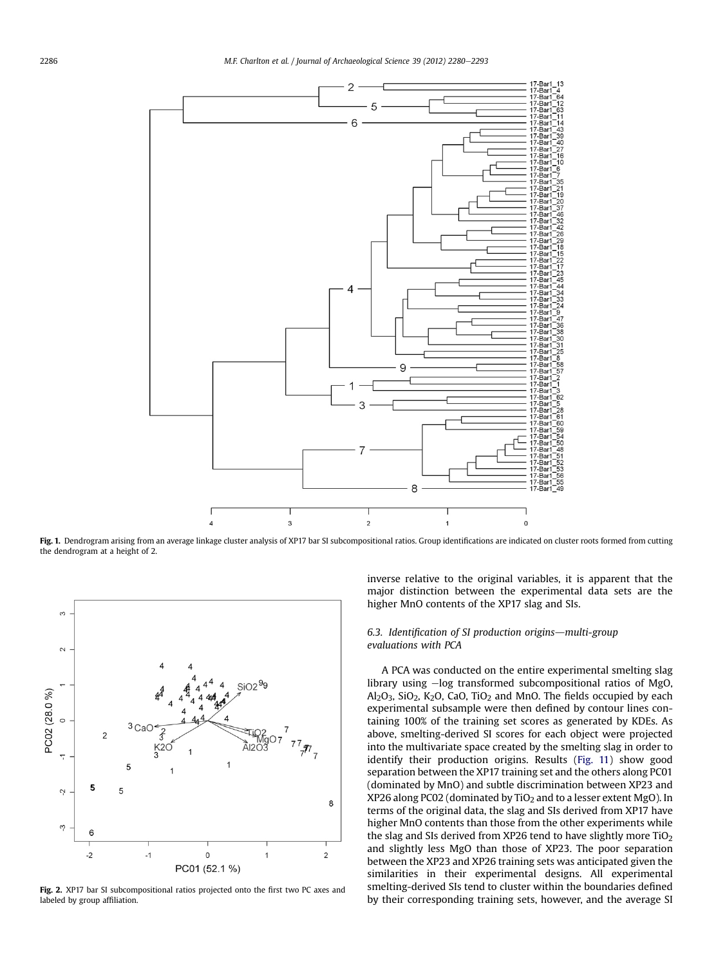<span id="page-6-0"></span>

Fig. 1. Dendrogram arising from an average linkage cluster analysis of XP17 bar SI subcompositional ratios. Group identifications are indicated on cluster roots formed from cutting the dendrogram at a height of 2.



Fig. 2. XP17 bar SI subcompositional ratios projected onto the first two PC axes and labeled by group affiliation.

inverse relative to the original variables, it is apparent that the major distinction between the experimental data sets are the higher MnO contents of the XP17 slag and SIs.

# 6.3. Identification of SI production origins-multi-group evaluations with PCA

A PCA was conducted on the entire experimental smelting slag library using -log transformed subcompositional ratios of MgO,  $Al_2O_3$ , SiO<sub>2</sub>, K<sub>2</sub>O, CaO, TiO<sub>2</sub> and MnO. The fields occupied by each experimental subsample were then defined by contour lines containing 100% of the training set scores as generated by KDEs. As above, smelting-derived SI scores for each object were projected into the multivariate space created by the smelting slag in order to identify their production origins. Results ([Fig. 11\)](#page-10-0) show good separation between the XP17 training set and the others along PC01 (dominated by MnO) and subtle discrimination between XP23 and  $XP26$  along PC02 (dominated by TiO<sub>2</sub> and to a lesser extent MgO). In terms of the original data, the slag and SIs derived from XP17 have higher MnO contents than those from the other experiments while the slag and SIs derived from XP26 tend to have slightly more  $TiO<sub>2</sub>$ and slightly less MgO than those of XP23. The poor separation between the XP23 and XP26 training sets was anticipated given the similarities in their experimental designs. All experimental smelting-derived SIs tend to cluster within the boundaries defined by their corresponding training sets, however, and the average SI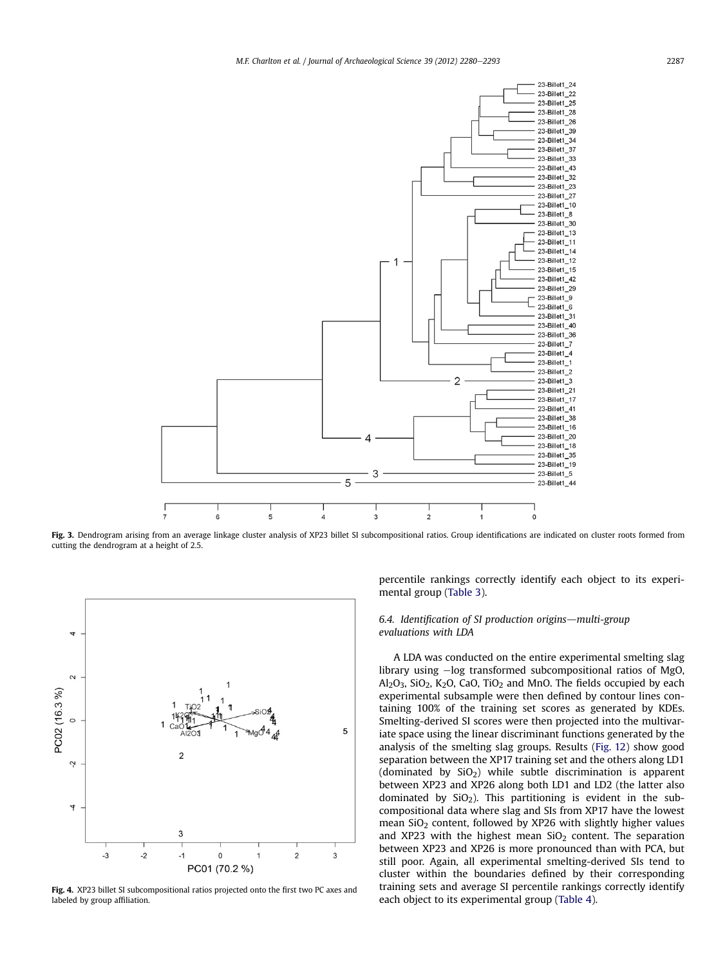<span id="page-7-0"></span>

Fig. 3. Dendrogram arising from an average linkage cluster analysis of XP23 billet SI subcompositional ratios. Group identifications are indicated on cluster roots formed from cutting the dendrogram at a height of 2.5.



Fig. 4. XP23 billet SI subcompositional ratios projected onto the first two PC axes and labeled by group affiliation.

percentile rankings correctly identify each object to its experimental group [\(Table 3](#page-10-0)).

# 6.4. Identification of SI production origins-multi-group evaluations with LDA

A LDA was conducted on the entire experimental smelting slag library using -log transformed subcompositional ratios of MgO,  $Al_2O_3$ , SiO<sub>2</sub>, K<sub>2</sub>O, CaO, TiO<sub>2</sub> and MnO. The fields occupied by each experimental subsample were then defined by contour lines containing 100% of the training set scores as generated by KDEs. Smelting-derived SI scores were then projected into the multivariate space using the linear discriminant functions generated by the analysis of the smelting slag groups. Results [\(Fig. 12](#page-10-0)) show good separation between the XP17 training set and the others along LD1 (dominated by  $SiO<sub>2</sub>$ ) while subtle discrimination is apparent between XP23 and XP26 along both LD1 and LD2 (the latter also dominated by  $SiO<sub>2</sub>$ ). This partitioning is evident in the subcompositional data where slag and SIs from XP17 have the lowest mean  $SiO<sub>2</sub>$  content, followed by XP26 with slightly higher values and XP23 with the highest mean  $SiO<sub>2</sub>$  content. The separation between XP23 and XP26 is more pronounced than with PCA, but still poor. Again, all experimental smelting-derived SIs tend to cluster within the boundaries defined by their corresponding training sets and average SI percentile rankings correctly identify each object to its experimental group [\(Table 4](#page-10-0)).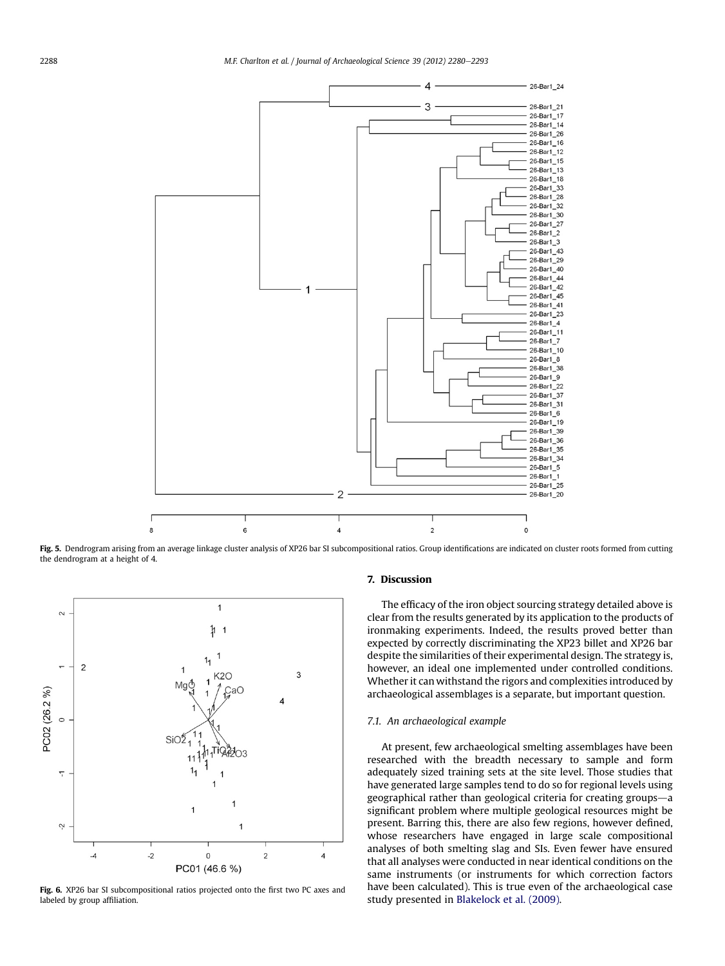<span id="page-8-0"></span>

Fig. 5. Dendrogram arising from an average linkage cluster analysis of XP26 bar SI subcompositional ratios. Group identifications are indicated on cluster roots formed from cutting the dendrogram at a height of 4.



Fig. 6. XP26 bar SI subcompositional ratios projected onto the first two PC axes and labeled by group affiliation.

## 7. Discussion

The efficacy of the iron object sourcing strategy detailed above is clear from the results generated by its application to the products of ironmaking experiments. Indeed, the results proved better than expected by correctly discriminating the XP23 billet and XP26 bar despite the similarities of their experimental design. The strategy is, however, an ideal one implemented under controlled conditions. Whether it can withstand the rigors and complexities introduced by archaeological assemblages is a separate, but important question.

# 7.1. An archaeological example

At present, few archaeological smelting assemblages have been researched with the breadth necessary to sample and form adequately sized training sets at the site level. Those studies that have generated large samples tend to do so for regional levels using  $geo$ graphical rather than geological criteria for creating groups-a significant problem where multiple geological resources might be present. Barring this, there are also few regions, however defined, whose researchers have engaged in large scale compositional analyses of both smelting slag and SIs. Even fewer have ensured that all analyses were conducted in near identical conditions on the same instruments (or instruments for which correction factors have been calculated). This is true even of the archaeological case study presented in [Blakelock et al. \(2009\).](#page-12-0)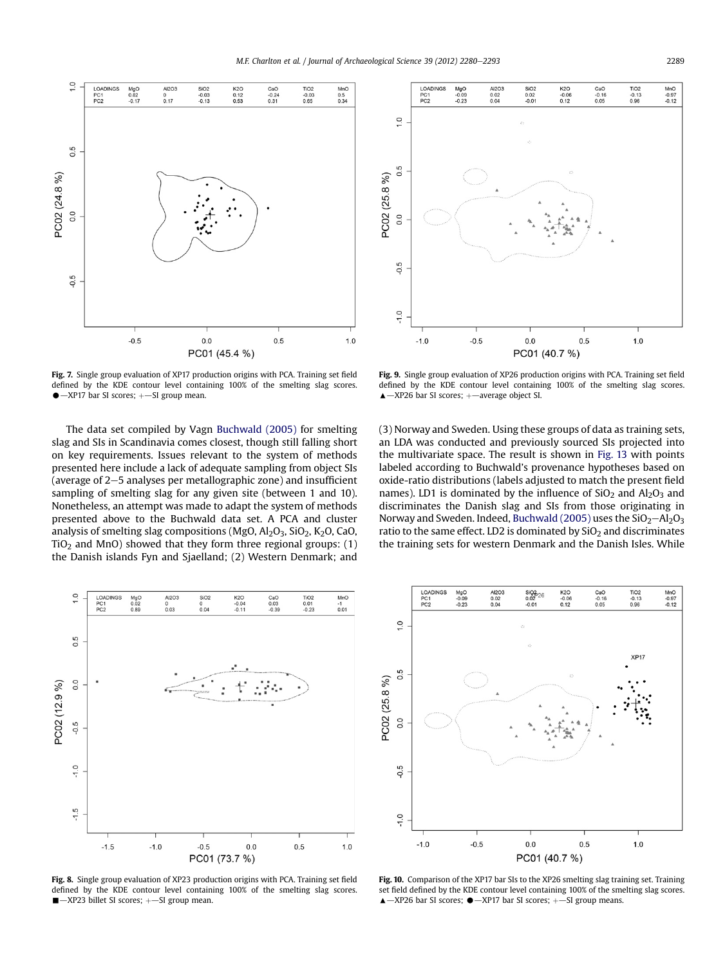<span id="page-9-0"></span>

Fig. 7. Single group evaluation of XP17 production origins with PCA. Training set field defined by the KDE contour level containing 100% of the smelting slag scores.  $\bullet$  -XP17 bar SI scores;  $+$ -SI group mean.

The data set compiled by Vagn [Buchwald \(2005\)](#page-12-0) for smelting slag and SIs in Scandinavia comes closest, though still falling short on key requirements. Issues relevant to the system of methods presented here include a lack of adequate sampling from object SIs (average of  $2-5$  analyses per metallographic zone) and insufficient sampling of smelting slag for any given site (between 1 and 10). Nonetheless, an attempt was made to adapt the system of methods presented above to the Buchwald data set. A PCA and cluster analysis of smelting slag compositions (MgO,  $Al_2O_3$ ,  $SiO_2$ ,  $K_2O$ , CaO,  $TiO<sub>2</sub>$  and MnO) showed that they form three regional groups: (1) the Danish islands Fyn and Sjaelland; (2) Western Denmark; and



Fig. 9. Single group evaluation of XP26 production origins with PCA. Training set field defined by the KDE contour level containing 100% of the smelting slag scores.  $\triangle$ -XP26 bar SI scores; +-average object SI.

(3) Norway and Sweden. Using these groups of data as training sets, an LDA was conducted and previously sourced SIs projected into the multivariate space. The result is shown in [Fig. 13](#page-11-0) with points labeled according to Buchwald's provenance hypotheses based on oxide-ratio distributions (labels adjusted to match the present field names). LD1 is dominated by the influence of  $SiO<sub>2</sub>$  and  $Al<sub>2</sub>O<sub>3</sub>$  and discriminates the Danish slag and SIs from those originating in Norway and Sweden. Indeed, [Buchwald \(2005\)](#page-12-0) uses the  $SiO<sub>2</sub> - Al<sub>2</sub>O<sub>3</sub>$ ratio to the same effect. LD2 is dominated by  $SiO<sub>2</sub>$  and discriminates the training sets for western Denmark and the Danish Isles. While



Fig. 8. Single group evaluation of XP23 production origins with PCA. Training set field defined by the KDE contour level containing 100% of the smelting slag scores.  $\blacksquare$ -XP23 billet SI scores;  $+$ -SI group mean.



Fig. 10. Comparison of the XP17 bar SIs to the XP26 smelting slag training set. Training set field defined by the KDE contour level containing 100% of the smelting slag scores.  $\triangle$  -XP26 bar SI scores;  $\bullet$  -XP17 bar SI scores; +-SI group means.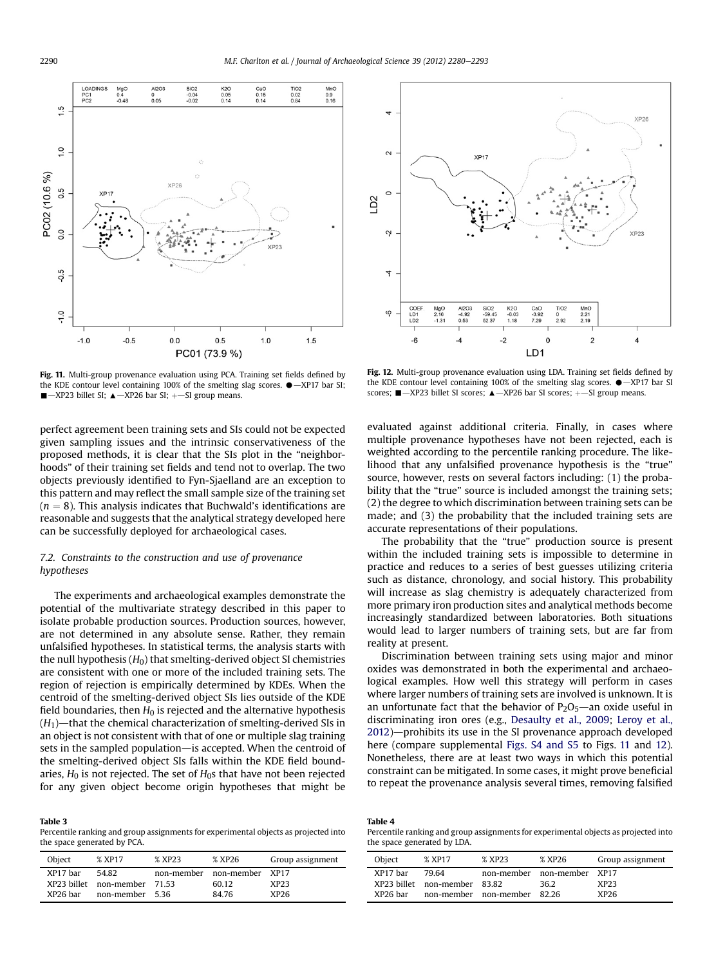<span id="page-10-0"></span>

Fig. 11. Multi-group provenance evaluation using PCA. Training set fields defined by the KDE contour level containing 100% of the smelting slag scores.  $\bullet$  -XP17 bar SI;  $\blacksquare$ -XP23 billet SI;  $\blacktriangle$ -XP26 bar SI; +-SI group means.

perfect agreement been training sets and SIs could not be expected given sampling issues and the intrinsic conservativeness of the proposed methods, it is clear that the SIs plot in the "neighborhoods" of their training set fields and tend not to overlap. The two objects previously identified to Fyn-Sjaelland are an exception to this pattern and may reflect the small sample size of the training set  $(n = 8)$ . This analysis indicates that Buchwald's identifications are reasonable and suggests that the analytical strategy developed here can be successfully deployed for archaeological cases.

# 7.2. Constraints to the construction and use of provenance hypotheses

The experiments and archaeological examples demonstrate the potential of the multivariate strategy described in this paper to isolate probable production sources. Production sources, however, are not determined in any absolute sense. Rather, they remain unfalsified hypotheses. In statistical terms, the analysis starts with the null hypothesis  $(H_0)$  that smelting-derived object SI chemistries are consistent with one or more of the included training sets. The region of rejection is empirically determined by KDEs. When the centroid of the smelting-derived object SIs lies outside of the KDE field boundaries, then  $H_0$  is rejected and the alternative hypothesis  $(H_1)$ —that the chemical characterization of smelting-derived SIs in an object is not consistent with that of one or multiple slag training sets in the sampled population—is accepted. When the centroid of the smelting-derived object SIs falls within the KDE field boundaries,  $H_0$  is not rejected. The set of  $H_0$ s that have not been rejected for any given object become origin hypotheses that might be

Table 3 Percentile ranking and group assignments for experimental objects as projected into the space generated by PCA.

| Object               | $%$ XP17                                                 | $%$ XP23 | $%$ XP26                                     | Group assignment                     |
|----------------------|----------------------------------------------------------|----------|----------------------------------------------|--------------------------------------|
| XP17 bar<br>XP26 bar | 54.82<br>XP23 billet non-member 71.53<br>non-member 5.36 |          | non-member non-member XP17<br>60.12<br>84.76 | XP <sub>23</sub><br>XP <sub>26</sub> |



Fig. 12. Multi-group provenance evaluation using LDA. Training set fields defined by the KDE contour level containing 100% of the smelting slag scores.  $\bullet$ -XP17 bar SI scores;  $\blacksquare$ -XP23 billet SI scores;  $\blacktriangle$ -XP26 bar SI scores;  $+-$ SI group means.

evaluated against additional criteria. Finally, in cases where multiple provenance hypotheses have not been rejected, each is weighted according to the percentile ranking procedure. The likelihood that any unfalsified provenance hypothesis is the "true" source, however, rests on several factors including: (1) the probability that the "true" source is included amongst the training sets; (2) the degree to which discrimination between training sets can be made; and (3) the probability that the included training sets are accurate representations of their populations.

The probability that the "true" production source is present within the included training sets is impossible to determine in practice and reduces to a series of best guesses utilizing criteria such as distance, chronology, and social history. This probability will increase as slag chemistry is adequately characterized from more primary iron production sites and analytical methods become increasingly standardized between laboratories. Both situations would lead to larger numbers of training sets, but are far from reality at present.

Discrimination between training sets using major and minor oxides was demonstrated in both the experimental and archaeological examples. How well this strategy will perform in cases where larger numbers of training sets are involved is unknown. It is an unfortunate fact that the behavior of  $P_2O_5$ —an oxide useful in discriminating iron ores (e.g., [Desaulty et al., 2009;](#page-12-0) [Leroy et al.,](#page-13-0)  $2012$ )—prohibits its use in the SI provenance approach developed here (compare supplemental Figs. S4 and S5 to Figs. 11 and 12). Nonetheless, there are at least two ways in which this potential constraint can be mitigated. In some cases, it might prove beneficial to repeat the provenance analysis several times, removing falsified

#### Table 4

Percentile ranking and group assignments for experimental objects as projected into the space generated by LDA.

| Object                              | % XP17                                       | $%$ XP23            | $%$ XP <sub>26</sub>        | Group assignment            |
|-------------------------------------|----------------------------------------------|---------------------|-----------------------------|-----------------------------|
| XP17 bar<br>XP23 hillet<br>XP26 bar | 79.64<br>non-member<br>non-member non-member | non-member<br>83.82 | non-member<br>36.2<br>82.26 | <b>XP17</b><br>XP23<br>XP26 |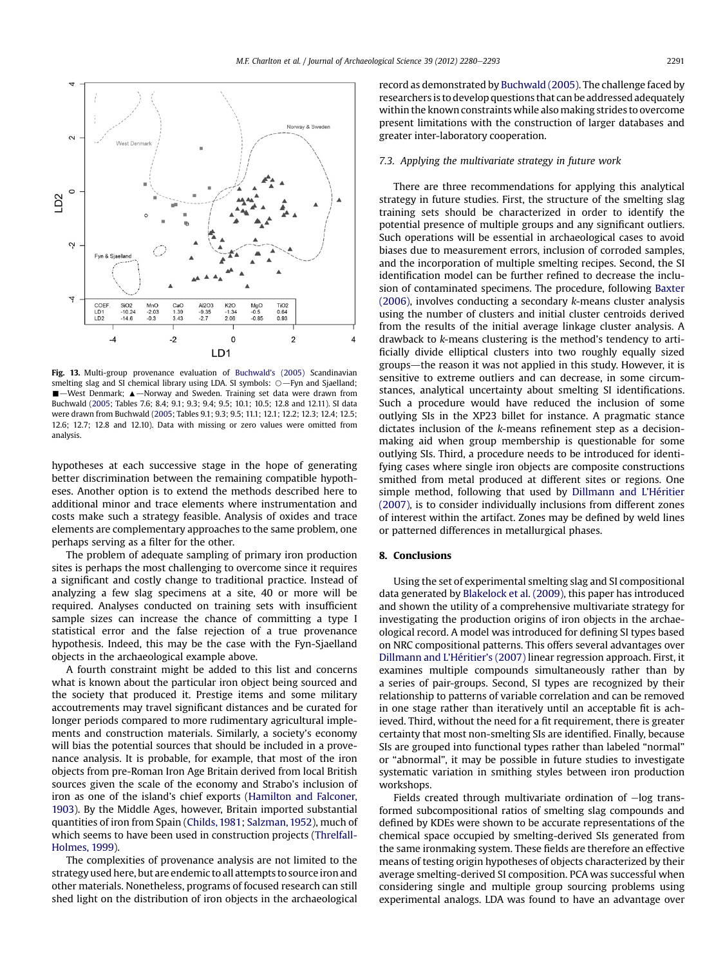<span id="page-11-0"></span>

Fig. 13. Multi-group provenance evaluation of [Buchwald](#page-12-0)'s (2005) Scandinavian smelting slag and SI chemical library using LDA. SI symbols:  $\bigcirc$ -Fyn and Sjaelland;  $\blacksquare$ -West Denmark:  $\blacktriangle$ -Norway and Sweden. Training set data were drawn from Buchwald ([2005](#page-12-0); Tables 7.6; 8.4; 9.1; 9.3; 9.4; 9.5; 10.1; 10.5; 12.8 and 12.11). SI data were drawn from Buchwald ([2005;](#page-12-0) Tables 9.1; 9.3; 9.5; 11.1; 12.1; 12.2; 12.3; 12.4; 12.5; 12.6; 12.7; 12.8 and 12.10). Data with missing or zero values were omitted from analysis.

hypotheses at each successive stage in the hope of generating better discrimination between the remaining compatible hypotheses. Another option is to extend the methods described here to additional minor and trace elements where instrumentation and costs make such a strategy feasible. Analysis of oxides and trace elements are complementary approaches to the same problem, one perhaps serving as a filter for the other.

The problem of adequate sampling of primary iron production sites is perhaps the most challenging to overcome since it requires a significant and costly change to traditional practice. Instead of analyzing a few slag specimens at a site, 40 or more will be required. Analyses conducted on training sets with insufficient sample sizes can increase the chance of committing a type I statistical error and the false rejection of a true provenance hypothesis. Indeed, this may be the case with the Fyn-Sjaelland objects in the archaeological example above.

A fourth constraint might be added to this list and concerns what is known about the particular iron object being sourced and the society that produced it. Prestige items and some military accoutrements may travel significant distances and be curated for longer periods compared to more rudimentary agricultural implements and construction materials. Similarly, a society's economy will bias the potential sources that should be included in a provenance analysis. It is probable, for example, that most of the iron objects from pre-Roman Iron Age Britain derived from local British sources given the scale of the economy and Strabo's inclusion of iron as one of the island's chief exports [\(Hamilton and Falconer,](#page-12-0) [1903\)](#page-12-0). By the Middle Ages, however, Britain imported substantial quantities of iron from Spain ([Childs, 1981](#page-12-0); [Salzman, 1952](#page-13-0)), much of which seems to have been used in construction projects ([Threlfall-](#page-13-0)[Holmes, 1999](#page-13-0)).

The complexities of provenance analysis are not limited to the strategy used here, but are endemic to all attempts to source iron and other materials. Nonetheless, programs of focused research can still shed light on the distribution of iron objects in the archaeological record as demonstrated by [Buchwald \(2005\).](#page-12-0) The challenge faced by researchers is to develop questions that can be addressed adequately within the known constraints while also making strides to overcome present limitations with the construction of larger databases and greater inter-laboratory cooperation.

#### 7.3. Applying the multivariate strategy in future work

There are three recommendations for applying this analytical strategy in future studies. First, the structure of the smelting slag training sets should be characterized in order to identify the potential presence of multiple groups and any significant outliers. Such operations will be essential in archaeological cases to avoid biases due to measurement errors, inclusion of corroded samples, and the incorporation of multiple smelting recipes. Second, the SI identification model can be further refined to decrease the inclusion of contaminated specimens. The procedure, following [Baxter](#page-12-0) [\(2006\),](#page-12-0) involves conducting a secondary k-means cluster analysis using the number of clusters and initial cluster centroids derived from the results of the initial average linkage cluster analysis. A drawback to k-means clustering is the method's tendency to artificially divide elliptical clusters into two roughly equally sized groups—the reason it was not applied in this study. However, it is sensitive to extreme outliers and can decrease, in some circumstances, analytical uncertainty about smelting SI identifications. Such a procedure would have reduced the inclusion of some outlying SIs in the XP23 billet for instance. A pragmatic stance dictates inclusion of the k-means refinement step as a decisionmaking aid when group membership is questionable for some outlying SIs. Third, a procedure needs to be introduced for identifying cases where single iron objects are composite constructions smithed from metal produced at different sites or regions. One simple method, following that used by [Dillmann and L](#page-12-0)'Héritier [\(2007\),](#page-12-0) is to consider individually inclusions from different zones of interest within the artifact. Zones may be defined by weld lines or patterned differences in metallurgical phases.

#### 8. Conclusions

Using the set of experimental smelting slag and SI compositional data generated by [Blakelock et al. \(2009\)](#page-12-0), this paper has introduced and shown the utility of a comprehensive multivariate strategy for investigating the production origins of iron objects in the archaeological record. A model was introduced for defining SI types based on NRC compositional patterns. This offers several advantages over [Dillmann and L](#page-12-0)'Héritier's (2007) linear regression approach. First, it examines multiple compounds simultaneously rather than by a series of pair-groups. Second, SI types are recognized by their relationship to patterns of variable correlation and can be removed in one stage rather than iteratively until an acceptable fit is achieved. Third, without the need for a fit requirement, there is greater certainty that most non-smelting SIs are identified. Finally, because SIs are grouped into functional types rather than labeled "normal" or "abnormal", it may be possible in future studies to investigate systematic variation in smithing styles between iron production workshops.

Fields created through multivariate ordination of  $-\log$  transformed subcompositional ratios of smelting slag compounds and defined by KDEs were shown to be accurate representations of the chemical space occupied by smelting-derived SIs generated from the same ironmaking system. These fields are therefore an effective means of testing origin hypotheses of objects characterized by their average smelting-derived SI composition. PCA was successful when considering single and multiple group sourcing problems using experimental analogs. LDA was found to have an advantage over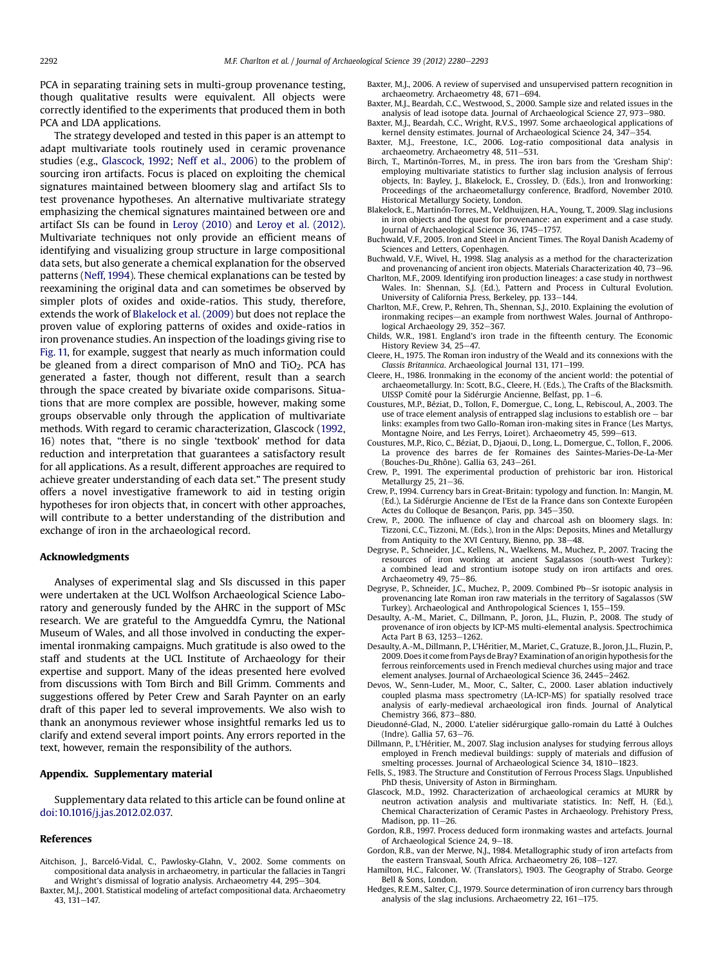<span id="page-12-0"></span>PCA in separating training sets in multi-group provenance testing, though qualitative results were equivalent. All objects were correctly identified to the experiments that produced them in both PCA and LDA applications.

The strategy developed and tested in this paper is an attempt to adapt multivariate tools routinely used in ceramic provenance studies (e.g., Glascock, 1992; [Neff et al., 2006\)](#page-13-0) to the problem of sourcing iron artifacts. Focus is placed on exploiting the chemical signatures maintained between bloomery slag and artifact SIs to test provenance hypotheses. An alternative multivariate strategy emphasizing the chemical signatures maintained between ore and artifact SIs can be found in [Leroy \(2010\)](#page-13-0) and [Leroy et al. \(2012\).](#page-13-0) Multivariate techniques not only provide an efficient means of identifying and visualizing group structure in large compositional data sets, but also generate a chemical explanation for the observed patterns [\(Neff, 1994\)](#page-13-0). These chemical explanations can be tested by reexamining the original data and can sometimes be observed by simpler plots of oxides and oxide-ratios. This study, therefore, extends the work of Blakelock et al. (2009) but does not replace the proven value of exploring patterns of oxides and oxide-ratios in iron provenance studies. An inspection of the loadings giving rise to [Fig. 11,](#page-10-0) for example, suggest that nearly as much information could be gleaned from a direct comparison of MnO and TiO<sub>2</sub>. PCA has generated a faster, though not different, result than a search through the space created by bivariate oxide comparisons. Situations that are more complex are possible, however, making some groups observable only through the application of multivariate methods. With regard to ceramic characterization, Glascock (1992, 16) notes that, "there is no single 'textbook' method for data reduction and interpretation that guarantees a satisfactory result for all applications. As a result, different approaches are required to achieve greater understanding of each data set." The present study offers a novel investigative framework to aid in testing origin hypotheses for iron objects that, in concert with other approaches, will contribute to a better understanding of the distribution and exchange of iron in the archaeological record.

### Acknowledgments

Analyses of experimental slag and SIs discussed in this paper were undertaken at the UCL Wolfson Archaeological Science Laboratory and generously funded by the AHRC in the support of MSc research. We are grateful to the Amgueddfa Cymru, the National Museum of Wales, and all those involved in conducting the experimental ironmaking campaigns. Much gratitude is also owed to the staff and students at the UCL Institute of Archaeology for their expertise and support. Many of the ideas presented here evolved from discussions with Tom Birch and Bill Grimm. Comments and suggestions offered by Peter Crew and Sarah Paynter on an early draft of this paper led to several improvements. We also wish to thank an anonymous reviewer whose insightful remarks led us to clarify and extend several import points. Any errors reported in the text, however, remain the responsibility of the authors.

#### Appendix. Supplementary material

Supplementary data related to this article can be found online at [doi:10.1016/j.jas.2012.02.037.](http://dx.doi.org/10.1016/j.jas.2012.02.037)

#### References

- Aitchison, J., Barceló-Vidal, C., Pawlosky-Glahn, V., 2002. Some comments on compositional data analysis in archaeometry, in particular the fallacies in Tangri and Wright's dismissal of logratio analysis. Archaeometry 44, 295-304.
- Baxter, M.J., 2001. Statistical modeling of artefact compositional data. Archaeometry 43, 131-147.
- Baxter, M.J., 2006. A review of supervised and unsupervised pattern recognition in archaeometry. Archaeometry 48, 671-694.
- Baxter, M.J., Beardah, C.C., Westwood, S., 2000. Sample size and related issues in the analysis of lead isotope data. Journal of Archaeological Science 27, 973-980.
- Baxter, M.J., Beardah, C.C., Wright, R.V.S., 1997. Some archaeological applications of kernel density estimates. Journal of Archaeological Science 24, 347-354.
- Baxter, M.J., Freestone, I.C., 2006. Log-ratio compositional data analysis in archaeometry. Archaeometry 48, 511-531.
- Birch, T., Martinón-Torres, M., in press. The iron bars from the 'Gresham Ship': employing multivariate statistics to further slag inclusion analysis of ferrous objects, In: Bayley, J., Blakelock, E., Crossley, D. (Eds.), Iron and Ironworking: Proceedings of the archaeometallurgy conference, Bradford, November 2010. Historical Metallurgy Society, London.
- Blakelock, E., Martinón-Torres, M., Veldhuijzen, H.A., Young, T., 2009. Slag inclusions in iron objects and the quest for provenance: an experiment and a case study. Journal of Archaeological Science 36, 1745–1757.
- Buchwald, V.F., 2005. Iron and Steel in Ancient Times. The Royal Danish Academy of Sciences and Letters, Copenhagen.
- Buchwald, V.F., Wivel, H., 1998. Slag analysis as a method for the characterization and provenancing of ancient iron objects. Materials Characterization  $40.73-96.$
- Charlton, M.F., 2009. Identifying iron production lineages: a case study in northwest Wales. In: Shennan, S.J. (Ed.), Pattern and Process in Cultural Evolution. University of California Press, Berkeley, pp. 133-144.
- Charlton, M.F., Crew, P., Rehren, Th., Shennan, S.J., 2010. Explaining the evolution of ironmaking recipes—an example from northwest Wales. Journal of Anthropological Archaeology 29,  $352-367$ .
- Childs, W.R., 1981. England's iron trade in the fifteenth century. The Economic History Review 34, 25-47.
- Cleere, H., 1975. The Roman iron industry of the Weald and its connexions with the Classis Britannica. Archaeological Journal 131, 171-199.
- Cleere, H., 1986. Ironmaking in the economy of the ancient world: the potential of archaeometallurgy. In: Scott, B.G., Cleere, H. (Eds.), The Crafts of the Blacksmith. UISSP Comité pour la Sidérurgie Ancienne, Belfast, pp. 1-6.
- Coustures, M.P., Béziat, D., Tollon, F., Domergue, C., Long, L., Rebiscoul, A., 2003. The use of trace element analysis of entrapped slag inclusions to establish ore  $-$  bar links: examples from two Gallo-Roman iron-making sites in France (Les Martys, Montagne Noire, and Les Ferrys, Loiret). Archaeometry 45, 599-613.
- Coustures, M.P., Rico, C., Béziat, D., Djaoui, D., Long, L., Domergue, C., Tollon, F., 2006. La provence des barres de fer Romaines des Saintes-Maries-De-La-Mer (Bouches-Du\_Rhône). Gallia 63, 243-261.
- Crew, P., 1991. The experimental production of prehistoric bar iron. Historical Metallurgy 25,  $21-36$ .
- Crew, P., 1994. Currency bars in Great-Britain: typology and function. In: Mangin, M. (Ed.), La Sidérurgie Ancienne de l'Est de la France dans son Contexte Européen Actes du Colloque de Besançon, Paris, pp. 345-350.
- Crew, P., 2000. The influence of clay and charcoal ash on bloomery slags. In: Tizzoni, C.C., Tizzoni, M. (Eds.), Iron in the Alps: Deposits, Mines and Metallurgy from Antiquity to the XVI Century, Bienno, pp. 38-48.
- Degryse, P., Schneider, J.C., Kellens, N., Waelkens, M., Muchez, P., 2007. Tracing the resources of iron working at ancient Sagalassos (south-west Turkey): a combined lead and strontium isotope study on iron artifacts and ores. Archaeometry 49, 75-86.
- Degryse, P., Schneider, J.C., Muchez, P., 2009. Combined Pb-Sr isotopic analysis in provenancing late Roman iron raw materials in the territory of Sagalassos (SW .<br>Turkey). Archaeological and Anthropological Sciences 1, 155–159.
- Desaulty, A.-M., Mariet, C., Dillmann, P., Joron, J.L., Fluzin, P., 2008. The study of provenance of iron objects by ICP-MS multi-elemental analysis. Spectrochimica .<br>Acta Part B 63, 1253–1262.
- Desaulty, A.-M., Dillmann, P., L'Héritier, M., Mariet, C., Gratuze, B., Joron, J.L., Fluzin, P., 2009. Does it come from Pays de Bray? Examination of an origin hypothesis for the ferrous reinforcements used in French medieval churches using major and trace element analyses. Journal of Archaeological Science 36, 2445-2462
- Devos, W., Senn-Luder, M., Moor, C., Salter, C., 2000. Laser ablation inductively coupled plasma mass spectrometry (LA-ICP-MS) for spatially resolved trace analysis of early-medieval archaeological iron finds. Journal of Analytical Chemistry 366, 873-880.
- Dieudonné-Glad, N., 2000. L'atelier sidérurgique gallo-romain du Latté à Oulches (Indre). Gallia 57, 63-76.
- Dillmann, P., L'Héritier, M., 2007. Slag inclusion analyses for studying ferrous alloys employed in French medieval buildings: supply of materials and diffusion of smelting processes. Journal of Archaeological Science 34, 1810-1823.
- Fells, S., 1983. The Structure and Constitution of Ferrous Process Slags. Unpublished PhD thesis, University of Aston in Birmingham.
- Glascock, M.D., 1992. Characterization of archaeological ceramics at MURR by neutron activation analysis and multivariate statistics. In: Neff, H. (Ed.), Chemical Characterization of Ceramic Pastes in Archaeology. Prehistory Press, Madison, pp.  $11-26$ .
- Gordon, R.B., 1997. Process deduced form ironmaking wastes and artefacts. Journal of Archaeological Science 24, 9-18.
- Gordon, R.B., van der Merwe, N.J., 1984. Metallographic study of iron artefacts from the eastern Transvaal, South Africa. Archaeometry 26, 108-127.
- Hamilton, H.C., Falconer, W. (Translators), 1903. The Geography of Strabo. George Bell & Sons, London.
- Hedges, R.E.M., Salter, C.J., 1979. Source determination of iron currency bars through analysis of the slag inclusions. Archaeometry  $22$ ,  $161-175$ .